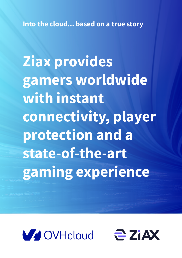**Ziax provides gamers worldwide with instant connectivity, player protection and a state-of-the-art gaming experience**



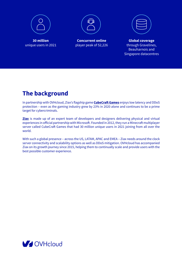

**30 million** unique users in 2021



**Concurrent online** player peak of 52,226



**Global coverage** through Gravelines, Beauharnois and Singapore datacentres

## **The background**

In partnership with OVHcloud, Ziax's flagship game **[CubeCraft Games](https://www.cubecraft.net)** enjoys low latency and DDoS protection – even as the gaming industry grew by 23% in 2020 alone and continues to be a prime target for cybercriminals.

**[Ziax](https://ziax.com/)** is made up of an expert team of developers and designers delivering physical and virtual experiences in official partnership with Microsoft. Founded in 2012, they run a Minecraft multiplayer server called CubeCraft Games that had 30 million unique users in 2021 joining from all over the world.

With such a global presence – across the US, LATAM, APAC and EMEA – Ziax needs around the clock server connectivity and scalability options as well as DDoS mitigation. OVHcloud has accompanied Ziax on its growth journey since 2015, helping them to continually scale and provide users with the best possible customer experience.

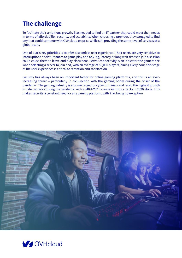## **The challenge**

To facilitate their ambitious growth, Ziax needed to find an IT partner that could meet their needs in terms of affordability, security, and scalability. When choosing a provider, they struggled to find any that could compete with OVHcloud on price while still providing the same level of services at a global scale.

One of Ziax's key priorities is to offer a seamless user experience. Their users are very sensitive to interruptions or disturbances to game play and any lag, latency or long wait times to join a session could cause them to leave and play elsewhere. Server connectivity is an indicator the gamers see when selecting a server to join and, with an average of 50,000 players joining every hour, this stage of the user experience is critical to retention and satisfaction.

Security has always been an important factor for online gaming platforms, and this is an everincreasing threat – particularly in conjunction with the gaming boom during the onset of the pandemic. The gaming industry is a prime target for cyber criminals and faced the highest growth in cyber-attacks during the pandemic with a 340% YoY increase in DDoS attacks in 2020 alone. This makes security a constant need for any gaming platform, with Ziax being no exception.



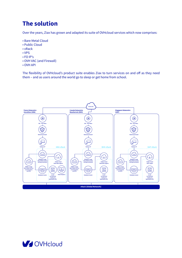## **The solution**

Over the years, Ziax has grown and adapted its suite of OVHcloud services which now comprises:

- Bare Metal Cloud
- Public Cloud
- vRack
- VPS
- FO IP's
- OVH VAC (and Firewall)
- OVH API

The flexibility of OVHcloud's product suite enables Ziax to turn services on and off as they need them – and as users around the world go to sleep or get home from school.



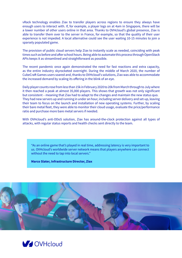vRack technology enables Ziax to transfer players across regions to ensure they always have enough users to interact with. If, for example, a player logs on at 4am in Singapore, there will be a lower number of other users online in that area. Thanks to OVHcloud's global presence, Ziax is able to transfer them over to the server in France, for example, so that the quality of their user experience is not impeded. A local alternative could see the user waiting 10-15 minutes to join a sparsely populated game.

The provision of public cloud servers help Ziax to instantly scale as needed, coinciding with peak times such as before and after school hours. Being able to automate this process through OpenStack APIs keeps it as streamlined and straightforward as possible.

The recent pandemic once again demonstrated the need for fast reactions and extra capacity, as the entire industry skyrocketed overnight. During the middle of March 2020, the number of CubeCraft Games users soared and, thanks to OVHcloud's solutions, Ziax was able to accommodate the increased demand by scaling its offering in the blink of an eye.

Daily player counts rose from less than 15k in February 2020 to 20k from March through to July where it then reached a peak at almost 35,000 players. This shows that growth was not only significant but consistent – meaning that Ziax had to adapt to the changes and maintain the new status quo. They had new servers up and running in under an hour, including server delivery and set-up, leaving their team to focus on the launch and installation of new operating systems. Further, by scaling their bare metal fleet, they were able to monitor their cloud usage, evaluate the price/performance ratio and purchase more bare metal servers if needed.

With OVHcloud's anti-DDoS solution, Ziax has around-the-clock protection against all types of attacks, with regular status reports and health checks sent directly to the team.

"As an online game that's played in real time, addressing latency is very important to us. OVHcloud's worldwide server network means that players anywhere can connect without the need to tap into local servers."

**Marco Slater, Infrastructure Director, Ziax**